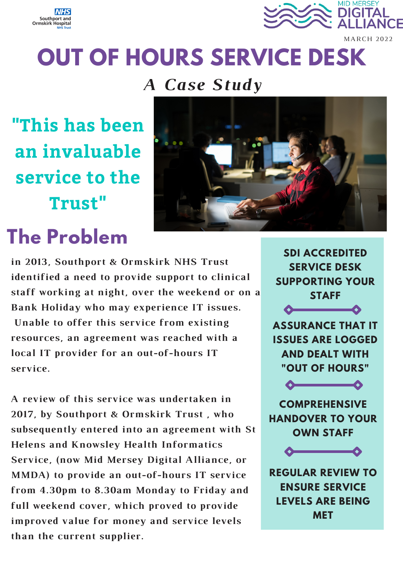



# **OUT OF HOURS SERVICE DESK**

### *A Case Study*

**"This has been an invaluable service to the Trust"**

## **The Problem**



**in 2013, Southport & Ormskirk NHS Trust identified a need to provide support to clinical staff working at night, over the weekend or on a Bank Holiday who may experience IT issues. Unable to offer this service from existing resources, an agreement was reached with a local IT provider for an out-of-hours IT service.**

**A review of this service was undertaken in 2017, by Southport & Ormskirk Trust , who subsequently entered into an agreement with St Helens and Knowsley Health Informatics Service, (now Mid Mersey Digital Alliance, or MMDA) to provide an out-of-hours IT service from 4.30pm to 8.30am Monday to Friday and full weekend cover, which proved to provide improved value for money and service levels than the current supplier.**

**SERVICE DESK SUPPORTING YOUR STAFF**  $\overline{\phantom{a}}$ **ASSURANCE THAT IT ISSUES ARE LOGGED AND DEALT WITH "OUT OF HOURS"**  $\overline{\phantom{a}}$ 

**SDI ACCREDITED**

**COMPREHENSIVE HANDOVER TO YOUR OWN STAFF**



**REGULAR REVIEW TO ENSURE SERVICE LEVELS ARE BEING MET**